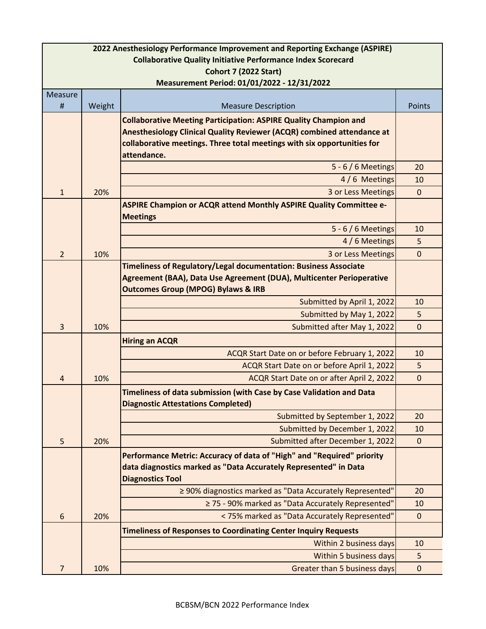| 2022 Anesthesiology Performance Improvement and Reporting Exchange (ASPIRE)                         |        |                                                                                                                                            |              |
|-----------------------------------------------------------------------------------------------------|--------|--------------------------------------------------------------------------------------------------------------------------------------------|--------------|
| <b>Collaborative Quality Initiative Performance Index Scorecard</b><br><b>Cohort 7 (2022 Start)</b> |        |                                                                                                                                            |              |
| Measurement Period: 01/01/2022 - 12/31/2022                                                         |        |                                                                                                                                            |              |
| Measure                                                                                             |        |                                                                                                                                            |              |
| #                                                                                                   | Weight | <b>Measure Description</b>                                                                                                                 | Points       |
|                                                                                                     |        | <b>Collaborative Meeting Participation: ASPIRE Quality Champion and</b>                                                                    |              |
|                                                                                                     |        | Anesthesiology Clinical Quality Reviewer (ACQR) combined attendance at                                                                     |              |
|                                                                                                     |        | collaborative meetings. Three total meetings with six opportunities for<br>attendance.                                                     |              |
|                                                                                                     |        | $5 - 6/6$ Meetings                                                                                                                         | 20           |
|                                                                                                     |        | 4/6 Meetings                                                                                                                               | 10           |
| $\mathbf{1}$                                                                                        | 20%    | 3 or Less Meetings                                                                                                                         | $\mathbf{0}$ |
|                                                                                                     |        | <b>ASPIRE Champion or ACQR attend Monthly ASPIRE Quality Committee e-</b><br><b>Meetings</b>                                               |              |
|                                                                                                     |        | $5 - 6/6$ Meetings                                                                                                                         | 10           |
|                                                                                                     |        | 4 / 6 Meetings                                                                                                                             | 5            |
| $\overline{2}$                                                                                      | 10%    | 3 or Less Meetings                                                                                                                         | $\mathbf{0}$ |
|                                                                                                     |        | Timeliness of Regulatory/Legal documentation: Business Associate                                                                           |              |
|                                                                                                     |        | Agreement (BAA), Data Use Agreement (DUA), Multicenter Perioperative                                                                       |              |
|                                                                                                     |        | <b>Outcomes Group (MPOG) Bylaws &amp; IRB</b>                                                                                              |              |
|                                                                                                     |        | Submitted by April 1, 2022                                                                                                                 | 10           |
|                                                                                                     |        | Submitted by May 1, 2022                                                                                                                   | 5            |
| 3                                                                                                   | 10%    | Submitted after May 1, 2022                                                                                                                | $\mathbf 0$  |
|                                                                                                     |        | <b>Hiring an ACQR</b>                                                                                                                      |              |
|                                                                                                     |        | ACQR Start Date on or before February 1, 2022                                                                                              | 10           |
|                                                                                                     |        | ACQR Start Date on or before April 1, 2022                                                                                                 | 5            |
| $\overline{4}$                                                                                      | 10%    | ACQR Start Date on or after April 2, 2022                                                                                                  | $\mathbf 0$  |
|                                                                                                     |        | Timeliness of data submission (with Case by Case Validation and Data<br><b>Diagnostic Attestations Completed)</b>                          |              |
|                                                                                                     |        | Submitted by September 1, 2022                                                                                                             | 20           |
|                                                                                                     |        | Submitted by December 1, 2022                                                                                                              | 10           |
| 5                                                                                                   | 20%    | Submitted after December 1, 2022                                                                                                           | $\mathbf{0}$ |
|                                                                                                     |        | Performance Metric: Accuracy of data of "High" and "Required" priority<br>data diagnostics marked as "Data Accurately Represented" in Data |              |
|                                                                                                     |        | <b>Diagnostics Tool</b><br>≥ 90% diagnostics marked as "Data Accurately Represented"                                                       |              |
|                                                                                                     |        | ≥ 75 - 90% marked as "Data Accurately Represented"                                                                                         | 20<br>10     |
| 6                                                                                                   | 20%    | < 75% marked as "Data Accurately Represented"                                                                                              | $\mathbf{0}$ |
|                                                                                                     |        | <b>Timeliness of Responses to Coordinating Center Inquiry Requests</b>                                                                     |              |
|                                                                                                     |        | Within 2 business days                                                                                                                     | 10           |
|                                                                                                     |        | Within 5 business days                                                                                                                     | 5            |
| 7                                                                                                   | 10%    | Greater than 5 business days                                                                                                               | $\pmb{0}$    |
|                                                                                                     |        |                                                                                                                                            |              |